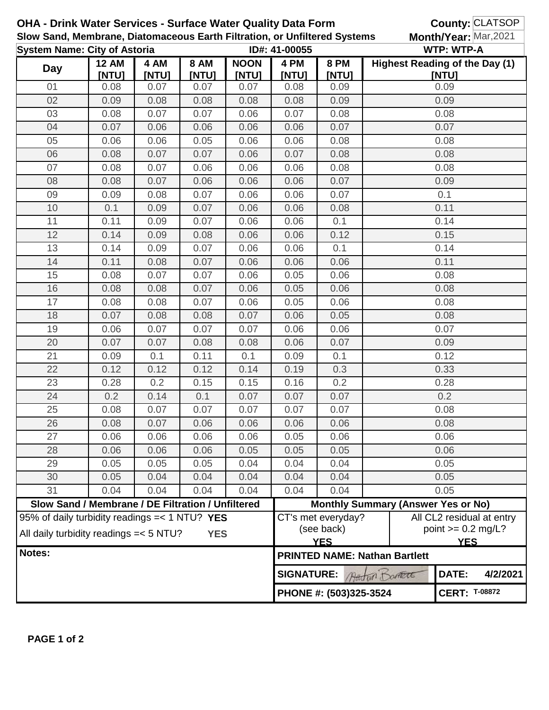| <b>OHA - Drink Water Services - Surface Water Quality Data Form</b><br>Slow Sand, Membrane, Diatomaceous Earth Filtration, or Unfiltered Systems<br><b>System Name: City of Astoria</b> |                                                   |               |                      |                      |                                              |                                                                                                                   |                                           | County: CLATSOP<br>Month/Year: Mar, 2021                            |          |  |
|-----------------------------------------------------------------------------------------------------------------------------------------------------------------------------------------|---------------------------------------------------|---------------|----------------------|----------------------|----------------------------------------------|-------------------------------------------------------------------------------------------------------------------|-------------------------------------------|---------------------------------------------------------------------|----------|--|
| <b>Day</b>                                                                                                                                                                              | <b>12 AM</b><br>[NTU]                             | 4 AM<br>[NTU] | <b>8 AM</b><br>[NTU] | <b>NOON</b><br>[NTU] | ID#: 41-00055<br>4 PM<br>[NTU]               | <b>8 PM</b><br>[NTU]                                                                                              |                                           | <b>WTP: WTP-A</b><br><b>Highest Reading of the Day (1)</b><br>[NTU] |          |  |
| 01                                                                                                                                                                                      | 0.08                                              | 0.07          | 0.07                 | 0.07                 | 0.08                                         | 0.09                                                                                                              |                                           | 0.09                                                                |          |  |
| 02                                                                                                                                                                                      | 0.09                                              | 0.08          | 0.08                 | 0.08                 | 0.08                                         | 0.09                                                                                                              |                                           | 0.09                                                                |          |  |
| 03                                                                                                                                                                                      | 0.08                                              | 0.07          | 0.07                 | 0.06                 | 0.07                                         | 0.08                                                                                                              |                                           | 0.08                                                                |          |  |
| 04                                                                                                                                                                                      | 0.07                                              | 0.06          | 0.06                 | 0.06                 | 0.06                                         | 0.07                                                                                                              |                                           | 0.07                                                                |          |  |
| 05                                                                                                                                                                                      | 0.06                                              | 0.06          | 0.05                 | 0.06                 | 0.06                                         | 0.08                                                                                                              | 0.08                                      |                                                                     |          |  |
| 06                                                                                                                                                                                      | 0.08                                              | 0.07          | 0.07                 | 0.06                 | 0.07                                         | 0.08                                                                                                              | 0.08                                      |                                                                     |          |  |
| 07                                                                                                                                                                                      | 0.08                                              | 0.07          | 0.06                 | 0.06                 | 0.06                                         | 0.08                                                                                                              |                                           | 0.08                                                                |          |  |
| 08                                                                                                                                                                                      | 0.08                                              | 0.07          | 0.06                 | 0.06                 | 0.06                                         | 0.07                                                                                                              | 0.09                                      |                                                                     |          |  |
| 09                                                                                                                                                                                      | 0.09                                              | 0.08          | 0.07                 | 0.06                 | 0.06                                         | 0.07                                                                                                              |                                           | 0.1                                                                 |          |  |
| 10                                                                                                                                                                                      | 0.1                                               | 0.09          | 0.07                 | 0.06                 | 0.06                                         | 0.08                                                                                                              |                                           | 0.11                                                                |          |  |
| 11                                                                                                                                                                                      | 0.11                                              | 0.09          | 0.07                 | 0.06                 | 0.06                                         | 0.1                                                                                                               |                                           | 0.14                                                                |          |  |
| 12                                                                                                                                                                                      | 0.14                                              | 0.09          | 0.08                 | 0.06                 | 0.06                                         | 0.12                                                                                                              |                                           | 0.15                                                                |          |  |
| 13                                                                                                                                                                                      | 0.14                                              | 0.09          | 0.07                 | 0.06                 | 0.06                                         | 0.1                                                                                                               |                                           | 0.14                                                                |          |  |
| 14                                                                                                                                                                                      | 0.11                                              | 0.08          | 0.07                 | 0.06                 | 0.06                                         | 0.06                                                                                                              |                                           | 0.11                                                                |          |  |
| 15                                                                                                                                                                                      | 0.08                                              | 0.07          | 0.07                 | 0.06                 | 0.05                                         | 0.06                                                                                                              |                                           | 0.08                                                                |          |  |
| 16                                                                                                                                                                                      | 0.08                                              | 0.08          | 0.07                 | 0.06                 | 0.05                                         | 0.06                                                                                                              |                                           | 0.08                                                                |          |  |
| 17                                                                                                                                                                                      | 0.08                                              | 0.08          | 0.07                 | 0.06                 | 0.05                                         | 0.06                                                                                                              | 0.08                                      |                                                                     |          |  |
| 18                                                                                                                                                                                      | 0.07                                              | 0.08          | 0.08                 | 0.07                 | 0.06                                         | 0.05                                                                                                              |                                           | 0.08                                                                |          |  |
| 19                                                                                                                                                                                      | 0.06                                              | 0.07          | 0.07                 | 0.07                 | 0.06                                         | 0.06                                                                                                              | 0.07                                      |                                                                     |          |  |
| 20                                                                                                                                                                                      | 0.07                                              | 0.07          | 0.08                 | 0.08                 | 0.06                                         | 0.07                                                                                                              | 0.09                                      |                                                                     |          |  |
| 21                                                                                                                                                                                      | 0.09                                              | 0.1           | 0.11                 | 0.1                  | 0.09                                         | 0.1                                                                                                               | 0.12                                      |                                                                     |          |  |
| 22                                                                                                                                                                                      | 0.12                                              | 0.12          | 0.12                 | 0.14                 | 0.19                                         | 0.3                                                                                                               | 0.33                                      |                                                                     |          |  |
| 23                                                                                                                                                                                      | 0.28                                              | 0.2           | 0.15                 | 0.15                 | 0.16                                         | 0.2                                                                                                               | 0.28                                      |                                                                     |          |  |
| 24                                                                                                                                                                                      | 0.2                                               | 0.14          | 0.1                  | 0.07                 | 0.07                                         | 0.07                                                                                                              | 0.2                                       |                                                                     |          |  |
| 25                                                                                                                                                                                      | 0.08                                              | 0.07          | 0.07                 | 0.07                 | 0.07                                         | 0.07                                                                                                              | 0.08                                      |                                                                     |          |  |
| 26                                                                                                                                                                                      | 0.08                                              | 0.07          | 0.06                 | 0.06                 | 0.06                                         | 0.06                                                                                                              | 0.08                                      |                                                                     |          |  |
| 27                                                                                                                                                                                      | 0.06                                              | 0.06          | 0.06                 | 0.06                 | 0.05                                         | 0.06                                                                                                              | 0.06                                      |                                                                     |          |  |
| 28                                                                                                                                                                                      | 0.06                                              | 0.06          | 0.06                 | 0.05                 | 0.05                                         | 0.05                                                                                                              | 0.06                                      |                                                                     |          |  |
| 29                                                                                                                                                                                      | 0.05                                              | 0.05          | 0.05                 | 0.04                 | 0.04                                         | 0.04                                                                                                              |                                           | 0.05                                                                |          |  |
| 30                                                                                                                                                                                      | 0.05                                              | 0.04          | 0.04                 | 0.04                 | 0.04                                         | 0.04                                                                                                              |                                           | 0.05                                                                |          |  |
| 31                                                                                                                                                                                      | 0.04                                              | 0.04          | 0.04                 | 0.04                 | 0.04                                         | 0.04                                                                                                              |                                           | 0.05                                                                |          |  |
|                                                                                                                                                                                         | Slow Sand / Membrane / DE Filtration / Unfiltered |               |                      |                      |                                              |                                                                                                                   | <b>Monthly Summary (Answer Yes or No)</b> |                                                                     |          |  |
| 95% of daily turbidity readings $=< 1 N T U?$ YES<br>All daily turbidity readings = < 5 NTU?<br><b>YES</b>                                                                              |                                                   |               |                      |                      |                                              | All CL2 residual at entry<br>CT's met everyday?<br>(see back)<br>point $>= 0.2$ mg/L?<br><b>YES</b><br><b>YES</b> |                                           |                                                                     |          |  |
| Notes:                                                                                                                                                                                  |                                                   |               |                      |                      |                                              |                                                                                                                   | <b>PRINTED NAME: Nathan Bartlett</b>      |                                                                     |          |  |
|                                                                                                                                                                                         |                                                   |               |                      |                      | DATE:<br><b>SIGNATURE:</b><br>Austria DOARTE |                                                                                                                   |                                           |                                                                     | 4/2/2021 |  |
|                                                                                                                                                                                         |                                                   |               |                      |                      | PHONE #: (503)325-3524                       |                                                                                                                   |                                           | <b>CERT: T-08872</b>                                                |          |  |